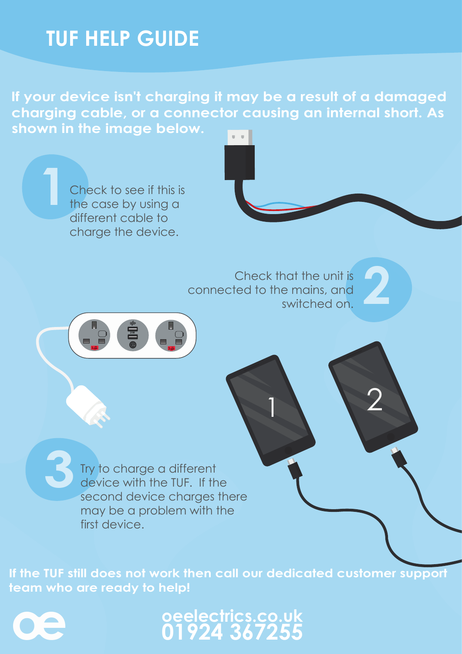## **TUF HELP GUIDE**

**If your device isn't charging it may be a result of a damaged charging cable, or a connector causing an internal short. As shown in the image below.** a a T

**2**<br> **2** Check that the unit is<br>
ted to the mains, and<br>
switched on. connected to the mains, and switched on. 1 2 21W Check to see if this is the case by using a different cable to charge the device. **1 3**Try to charge a different device with the TUF. If the second device charges there may be a problem with the first device.

**If the TUF still does not work then call our dedicated customer support team who are ready to help!**